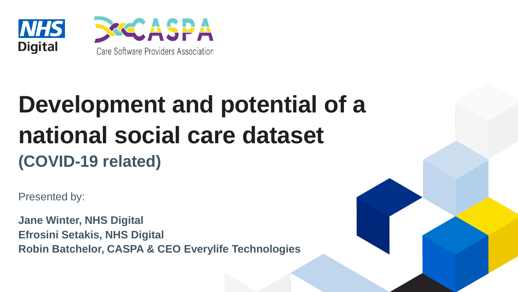



## **Development and potential of a national social care dataset (COVID-19 related)**

Presented by:

**Jane Winter, NHS Digital Efrosini Setakis, NHS Digital Robin Batchelor, CASPA & CEO Everylife Technologies**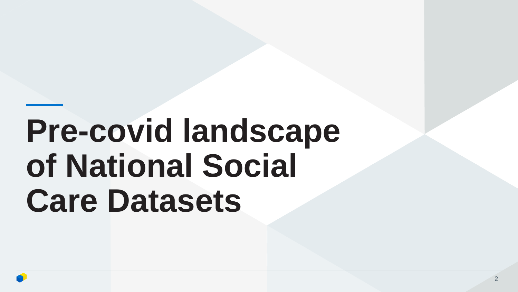# **Pre-covid landscape of National Social Care Datasets**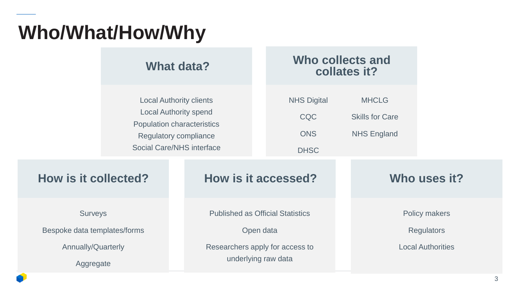### **Who/What/How/Why**

|                                                                                          | What data?                                                                                                                                                              |                                                                                                                | Who collects and<br>collates it?                             |                                                                |
|------------------------------------------------------------------------------------------|-------------------------------------------------------------------------------------------------------------------------------------------------------------------------|----------------------------------------------------------------------------------------------------------------|--------------------------------------------------------------|----------------------------------------------------------------|
|                                                                                          | <b>Local Authority clients</b><br><b>Local Authority spend</b><br><b>Population characteristics</b><br><b>Regulatory compliance</b><br><b>Social Care/NHS interface</b> |                                                                                                                | <b>MHCLG</b><br><b>Skills for Care</b><br><b>NHS England</b> |                                                                |
| <b>How is it collected?</b>                                                              |                                                                                                                                                                         | How is it accessed?                                                                                            | Who uses it?                                                 |                                                                |
| <b>Surveys</b><br>Bespoke data templates/forms<br><b>Annually/Quarterly</b><br>Aggregate |                                                                                                                                                                         | <b>Published as Official Statistics</b><br>Open data<br>Researchers apply for access to<br>underlying raw data |                                                              | Policy makers<br><b>Regulators</b><br><b>Local Authorities</b> |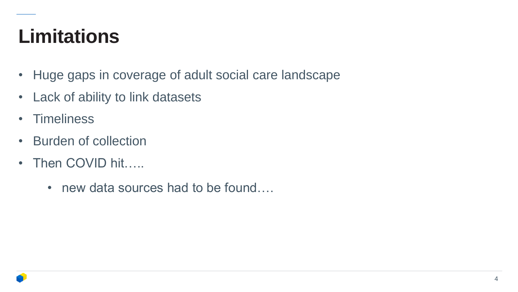#### **Limitations**

- Huge gaps in coverage of adult social care landscape
- Lack of ability to link datasets
- Timeliness
- Burden of collection
- Then COVID hit…..
	- new data sources had to be found....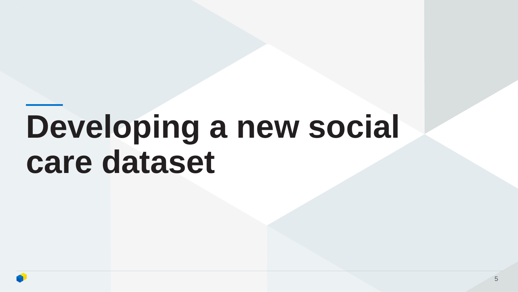# **Developing a new social care dataset**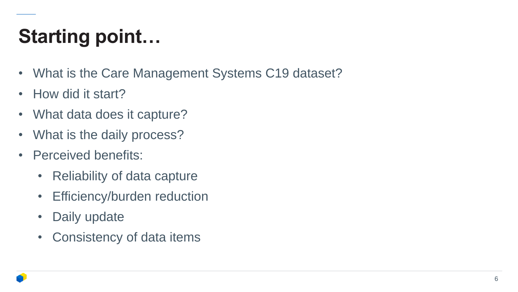## **Starting point…**

- What is the Care Management Systems C19 dataset?
- How did it start?
- What data does it capture?
- What is the daily process?
- Perceived benefits:
	- Reliability of data capture
	- Efficiency/burden reduction
	- Daily update
	- Consistency of data items

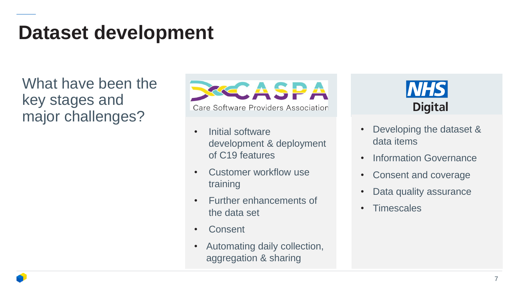#### **Dataset development**

What have been the key stages and major challenges?



- Initial software development & deployment of C19 features
- Customer workflow use training
- Further enhancements of the data set
- **Consent**
- Automating daily collection, aggregation & sharing



- Developing the dataset & data items
- Information Governance
- Consent and coverage
- Data quality assurance
- Timescales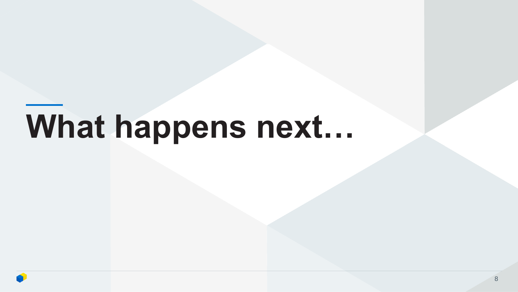# **What happens next…**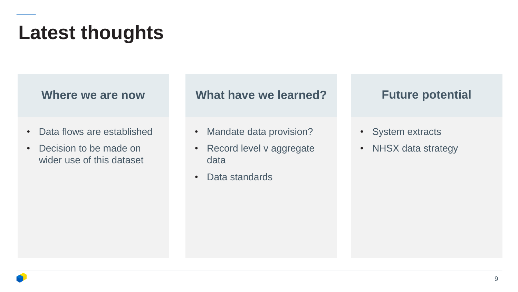- Data flows are established
- Decision to be made on wider use of this dataset

**Where we are now What have we learned?** Future potential

- Mandate data provision?
- Record level v aggregate data
- Data standards

- System extracts
- NHSX data strategy